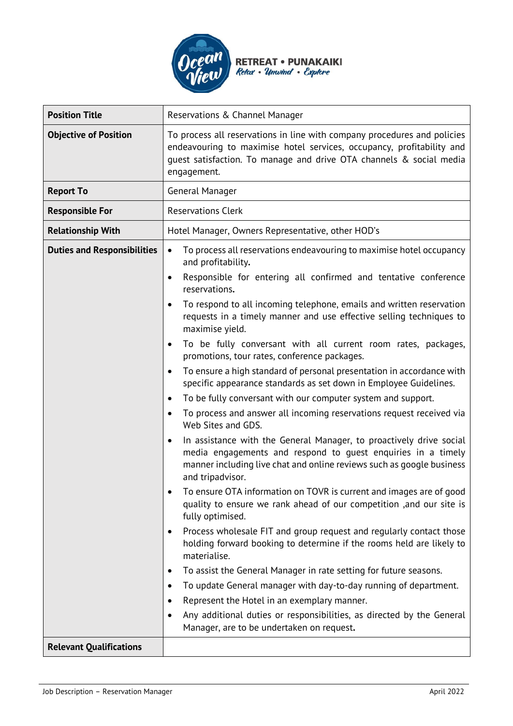

| <b>Position Title</b>              | Reservations & Channel Manager                                                                                                                                                                                                                                                                                                                                                                                                                                                                                                                                                                                                                                                                                                                                                                                                                                                                                                                                                                                                                                                                                                                                                                                                                                                                                                                                                                                                                                                                                                                                                                                                                                                                                                                                         |
|------------------------------------|------------------------------------------------------------------------------------------------------------------------------------------------------------------------------------------------------------------------------------------------------------------------------------------------------------------------------------------------------------------------------------------------------------------------------------------------------------------------------------------------------------------------------------------------------------------------------------------------------------------------------------------------------------------------------------------------------------------------------------------------------------------------------------------------------------------------------------------------------------------------------------------------------------------------------------------------------------------------------------------------------------------------------------------------------------------------------------------------------------------------------------------------------------------------------------------------------------------------------------------------------------------------------------------------------------------------------------------------------------------------------------------------------------------------------------------------------------------------------------------------------------------------------------------------------------------------------------------------------------------------------------------------------------------------------------------------------------------------------------------------------------------------|
| <b>Objective of Position</b>       | To process all reservations in line with company procedures and policies<br>endeavouring to maximise hotel services, occupancy, profitability and<br>guest satisfaction. To manage and drive OTA channels & social media<br>engagement.                                                                                                                                                                                                                                                                                                                                                                                                                                                                                                                                                                                                                                                                                                                                                                                                                                                                                                                                                                                                                                                                                                                                                                                                                                                                                                                                                                                                                                                                                                                                |
| <b>Report To</b>                   | General Manager                                                                                                                                                                                                                                                                                                                                                                                                                                                                                                                                                                                                                                                                                                                                                                                                                                                                                                                                                                                                                                                                                                                                                                                                                                                                                                                                                                                                                                                                                                                                                                                                                                                                                                                                                        |
| <b>Responsible For</b>             | <b>Reservations Clerk</b>                                                                                                                                                                                                                                                                                                                                                                                                                                                                                                                                                                                                                                                                                                                                                                                                                                                                                                                                                                                                                                                                                                                                                                                                                                                                                                                                                                                                                                                                                                                                                                                                                                                                                                                                              |
| <b>Relationship With</b>           | Hotel Manager, Owners Representative, other HOD's                                                                                                                                                                                                                                                                                                                                                                                                                                                                                                                                                                                                                                                                                                                                                                                                                                                                                                                                                                                                                                                                                                                                                                                                                                                                                                                                                                                                                                                                                                                                                                                                                                                                                                                      |
| <b>Duties and Responsibilities</b> | To process all reservations endeavouring to maximise hotel occupancy<br>$\bullet$<br>and profitability.<br>Responsible for entering all confirmed and tentative conference<br>$\bullet$<br>reservations.<br>To respond to all incoming telephone, emails and written reservation<br>requests in a timely manner and use effective selling techniques to<br>maximise yield.<br>To be fully conversant with all current room rates, packages,<br>$\bullet$<br>promotions, tour rates, conference packages.<br>To ensure a high standard of personal presentation in accordance with<br>$\bullet$<br>specific appearance standards as set down in Employee Guidelines.<br>To be fully conversant with our computer system and support.<br>$\bullet$<br>To process and answer all incoming reservations request received via<br>Web Sites and GDS.<br>In assistance with the General Manager, to proactively drive social<br>$\bullet$<br>media engagements and respond to guest enquiries in a timely<br>manner including live chat and online reviews such as google business<br>and tripadvisor.<br>To ensure OTA information on TOVR is current and images are of good<br>quality to ensure we rank ahead of our competition , and our site is<br>fully optimised.<br>Process wholesale FIT and group request and regularly contact those<br>holding forward booking to determine if the rooms held are likely to<br>materialise.<br>To assist the General Manager in rate setting for future seasons.<br>$\bullet$<br>To update General manager with day-to-day running of department.<br>٠<br>Represent the Hotel in an exemplary manner.<br>٠<br>Any additional duties or responsibilities, as directed by the General<br>Manager, are to be undertaken on request. |
| <b>Relevant Qualifications</b>     |                                                                                                                                                                                                                                                                                                                                                                                                                                                                                                                                                                                                                                                                                                                                                                                                                                                                                                                                                                                                                                                                                                                                                                                                                                                                                                                                                                                                                                                                                                                                                                                                                                                                                                                                                                        |